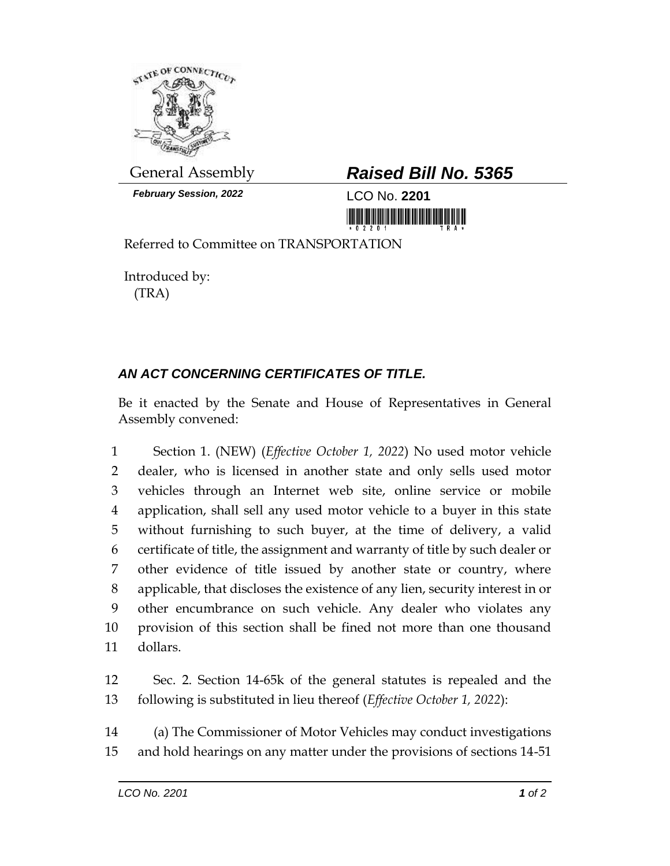

*February Session, 2022* LCO No. **2201**

## General Assembly *Raised Bill No. 5365*

Referred to Committee on TRANSPORTATION

Introduced by: (TRA)

## *AN ACT CONCERNING CERTIFICATES OF TITLE.*

Be it enacted by the Senate and House of Representatives in General Assembly convened:

 Section 1. (NEW) (*Effective October 1, 2022*) No used motor vehicle dealer, who is licensed in another state and only sells used motor vehicles through an Internet web site, online service or mobile application, shall sell any used motor vehicle to a buyer in this state without furnishing to such buyer, at the time of delivery, a valid certificate of title, the assignment and warranty of title by such dealer or other evidence of title issued by another state or country, where applicable, that discloses the existence of any lien, security interest in or other encumbrance on such vehicle. Any dealer who violates any provision of this section shall be fined not more than one thousand dollars.

 Sec. 2. Section 14-65k of the general statutes is repealed and the following is substituted in lieu thereof (*Effective October 1, 2022*):

 (a) The Commissioner of Motor Vehicles may conduct investigations and hold hearings on any matter under the provisions of sections 14-51